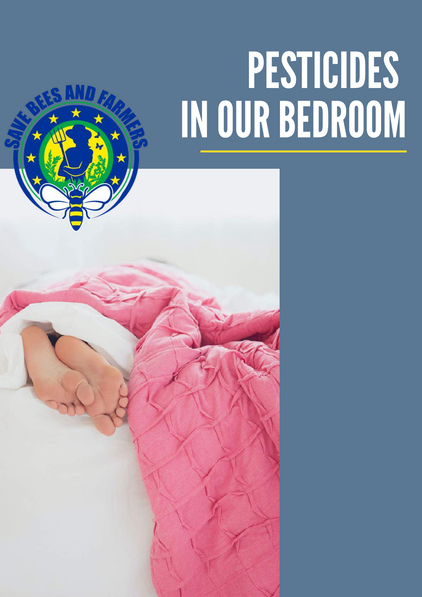# PESTICIDES INOURBEDROOM

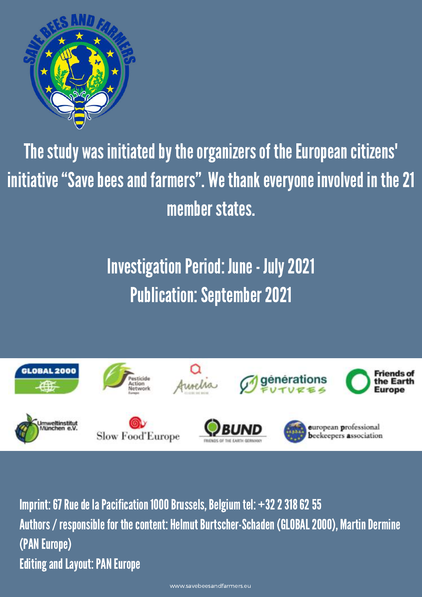

### The study was initiated by the organizers of the European citizens' initiative "Save bees and farmers". We thank everyone involved in the 21 member states.

### **Investigation Period: June - July 2021 Publication: September 2021**



Imprint: 67 Rue de la Pacification 1000 Brussels, Belgium tel:  $+3223186255$ Authors / responsible for the content: Helmut Burtscher-Schaden (GLOBAL 2000), Martin Dermine (PAN Europe) **Editing and Layout: PAN Europe**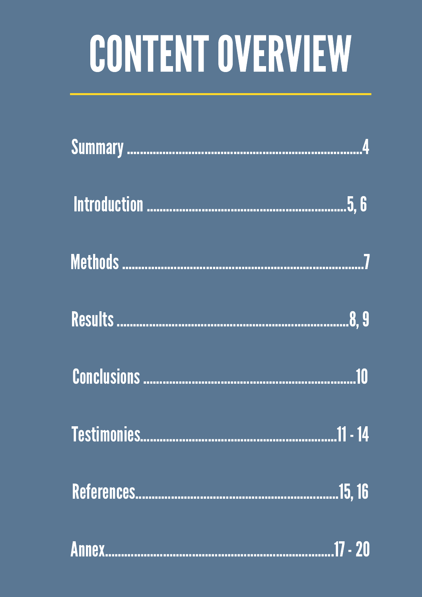# CONTENT OVERVIEW

| <b>Annex</b> |  |
|--------------|--|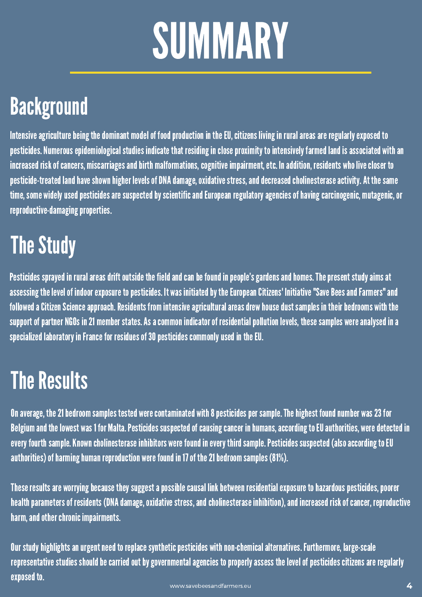# SUMMARY

### **Background**

Intensive agriculture being the dominant model of food production in the EU, citizens living in rural areas are regularly exposed to pesticides. Numerous epidemiological studies indicate that residing in close proximity to intensively farmed land is associated with an increased risk of cancers, miscarriages and birth malformations, cognitive impairment, etc. In addition, residents who live closer to pesticide-treated land have shown higher levels of DNA damage, oxidative stress, and decreased cholinesterase activity. At the same time, some widely used pesticides are suspected by scientific and European regulatory agencies of having carcinogenic, mutagenic, or reproductive-damaging properties.

### **The Study**

Pesticides sprayed in rural areas drift outside the field and can be found in people's gardens and homes. The present study aims at assessing the level of indoor exposure to pesticides. It was initiated by the European Citizens' Initiative "Save Bees and Farmers" and followed a Citizen Science approach. Residents from intensive agricultural areas drew house dust samples in their bedrooms with the support of partner NGOs in 21 member states. As a common indicator of residential pollution levels, these samples were analysed in a specialized laboratory in France for residues of 30 pesticides commonly used in the EU.

### **The Results**

On average, the 21 bedroom samples tested were contaminated with 8 pesticides per sample. The highest found number was 23 for Belgium and the lowest was 1 for Malta. Pesticides suspected of causing cancer in humans, according to EU authorities, were detected in every fourth sample. Known cholinesterase inhibitors were found in every third sample. Pesticides suspected (also according to EU authorities) of harming human reproduction were found in 17 of the 21 bedroom samples (81%).

These results are worrying because they suggest a possible causal link between residential exposure to hazardous pesticides, poorer health parameters of residents (DNA damage, oxidative stress, and cholinesterase inhibition), and increased risk of cancer, reproductive harm, and other chronic impairments.

Our study highlights an urgent need to replace synthetic pesticides with non-chemical alternatives. Furthermore, large-scale representative studies should be carried out by governmental agencies to properly assess the level of pesticides citizens are regularly exposed to. [www.savebeesandfarmers.eu](http://www.savebeesandfarmers.eu/) **4**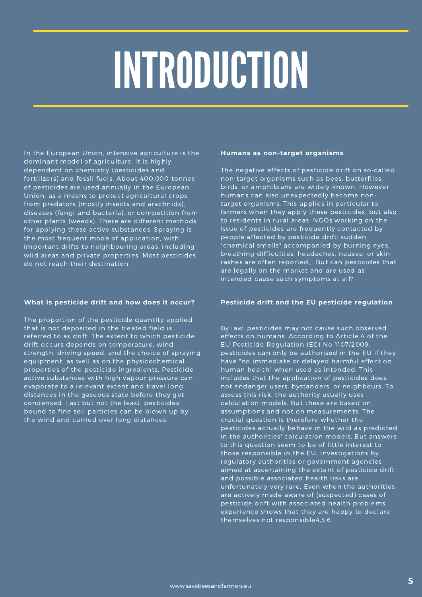# INTRODUCTION

In the European Union, intensive agriculture is the dominant model of agriculture. It is highly dependent on chemistry (pesticides and fertilizers) and fossil fuels. About 400,000 tonnes of pesticides are used annually in the European Union, as a means to protect agricultural crops from predators (mostly insects and arachnids), diseases (fungi and bacteria), or competition from other plants (weeds). There are different methods for applying these active substances. Spraying is the most frequent mode of application, with important drifts to neighbouring areas, including wild areas and private properties. Most pesticides do not reach their destination.

### **What is pesticide drift and how does it occur?**

The proportion of the pesticide quantity applied that is not deposited in the treated field is referred to as drift. The extent to which pesticide drift occurs depends on temperature, wind strength, driving speed, and the choice of spraying equipment, as well as on the physicochemical properties of the pesticide ingredients. Pesticide active substances with high vapour pressure can evaporate to a relevant extent and travel long distances in the gaseous state before they get condensed. Last but not the least, pesticides bound to fine soil particles can be blown up by the wind and carried over long distances.

### **Humans as non-target organisms**

The negative effects of pesticide drift on so-called non-target organisms such as bees, butterflies, birds, or amphibians are widely known. However, humans can also unexpectedly become nontarget organisms. This applies in particular to farmers when they apply these pesticides, but also to residents in rural areas. NGOs working on the issue of pesticides are frequently contacted by people affected by pesticide drift: sudden "chemical smells" accompanied by burning eyes, breathing difficulties, headaches, nausea, or skin rashes are often reported,,. But can pesticides that are legally on the market and are used as intended cause such symptoms at all?

### **Pesticide drift and the EU pesticide regulation**

By law, pesticides may not cause such observed effects on humans. According to Article 4 of the EU Pesticide Regulation (EC) No 1107/2009, pesticides can only be authorised in the EU if they have "no immediate or delayed harmful effect on human health" when used as intended. This includes that the application of pesticides does not endanger users, bystanders, or neighbours. To assess this risk, the authority usually uses calculation models. But these are based on assumptions and not on measurements. The crucial question is therefore whether the pesticides actually behave in the wild as predicted in the authorities' calculation models. But answers to this question seem to be of little interest to those responsible in the EU. Investigations by regulatory authorities or government agencies aimed at ascertaining the extent of pesticide drift and possible associated health risks are unfortunately very rare. Even when the authorities are actively made aware of (suspected) cases of pesticide drift with associated health problems, experience shows that they are happy to declare themselves not responsible4,5,6.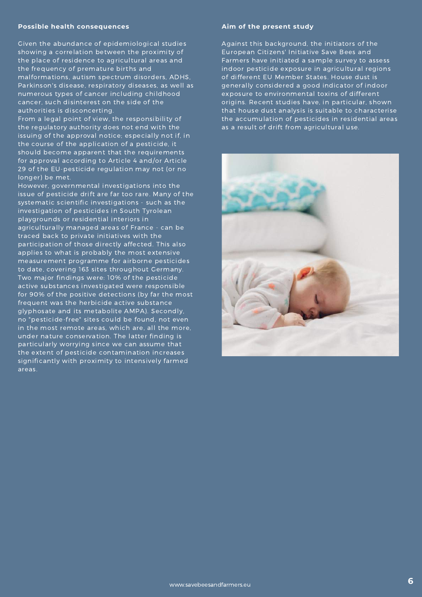### **Possible health consequences**

Given the abundance of epidemiological studies showing a correlation between the proximity of the place of residence to agricultural areas and the frequency of premature births and malformations, autism spectrum disorders, ADHS, Parkinson's disease, respiratory diseases, as well as numerous types of cancer including childhood cancer, such disinterest on the side of the authorities is disconcerting.

From a legal point of view, the responsibility of the regulatory authority does not end with the issuing of the approval notice; especially not if, in the course of the application of a pesticide, it should become apparent that the requirements for approval according to Article 4 and/or Article 29 of the EU-pesticide regulation may not (or no longer) be met.

However, governmental investigations into the issue of pesticide drift are far too rare. Many of the systematic scientific investigations - such as the investigation of pesticides in South Tyrolean playgrounds or residential interiors in agriculturally managed areas of France - can be traced back to private initiatives with the participation of those directly affected. This also applies to what is probably the most extensive measurement programme for airborne pesticides to date, covering 163 sites throughout Germany. Two major findings were: 10% of the pesticide active substances investigated were responsible for 90% of the positive detections (by far the most frequent was the herbicide active substance glyphosate and its metabolite AMPA). Secondly, no "pesticide-free" sites could be found, not even in the most remote areas, which are, all the more, under nature conservation. The latter finding is particularly worrying since we can assume that the extent of pesticide contamination increases significantly with proximity to intensively farmed areas.

### **Aim of the present study**

Against this background, the initiators of the European Citizens' Initiative Save Bees and Farmers have initiated a sample survey to assess indoor pesticide exposure in agricultural regions of different EU Member States. House dust is generally considered a good indicator of indoor exposure to environmental toxins of different origins. Recent studies have, in particular, shown that house dust analysis is suitable to characterise the accumulation of pesticides in residential areas as a result of drift from agricultural use.

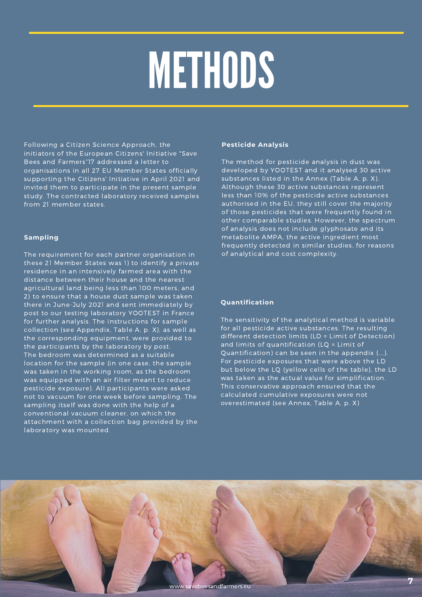## METHODS

Following a Citizen Science Approach, the initiators of the European Citizens' Initiative "Save Bees and Farmers"17 addressed a letter to organisations in all 27 EU Member States officially supporting the Citizens' Initiative in April 2021 and invited them to participate in the present sample study. The contracted laboratory received samples from 21 member states.

### **Sampling**

The requirement for each partner organisation in these 21 Member States was 1) to identify a private residence in an intensively farmed area with the distance between their house and the nearest agricultural land being less than 100 meters, and 2) to ensure that a house dust sample was taken there in June-July 2021 and sent immediately by post to our testing laboratory YOOTEST in France for further analysis. The instructions for sample collection (see Appendix, Table A, p. X), as well as the corresponding equipment, were provided to the participants by the laboratory by post. The bedroom was determined as a suitable location for the sample (in one case, the sample was taken in the working room, as the bedroom was equipped with an air filter meant to reduce pesticide exposure). All participants were asked not to vacuum for one week before sampling. The sampling itself was done with the help of a conventional vacuum cleaner, on which the attachment with a collection bag provided by the laboratory was mounted.

### **Pesticide Analysis**

The method for pesticide analysis in dust was developed by YOOTEST and it analysed 30 active substances listed in the Annex (Table A, p. X). Although these 30 active substances represent less than 10% of the pesticide active substances authorised in the EU, they still cover the majority of those pesticides that were frequently found in other comparable studies. However, the spectrum of analysis does not include glyphosate and its metabolite AMPA, the active ingredient most frequently detected in similar studies, for reasons of analytical and cost complexity.

### **Quantification**

The sensitivity of the analytical method is variable for all pesticide active substances. The resulting different detection limits (LD = Limit of Detection) and limits of quantification (LQ = Limit of Quantification) can be seen in the appendix (....). For pesticide exposures that were above the LD but below the LQ (yellow cells of the table), the LD was taken as the actual value for simplification. This conservative approach ensured that the calculated cumulative exposures were not overestimated (see Annex, Table A, p. X)

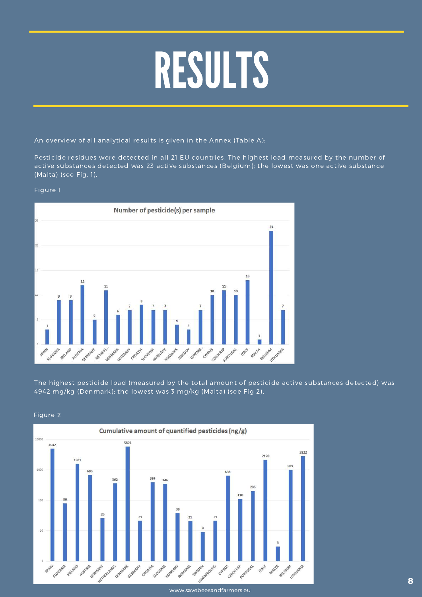## RESULTS

An overview of all analytical results is given in the Annex (Table A):

Pesticide residues were detected in all 21 EU countries. The highest load measured by the number of active substances detected was 23 active substances (Belgium); the lowest was one active substance (Malta) (see Fig. 1).

### Figure 1



The highest pesticide load (measured by the total amount of pesticide active substances detected) was 4942 mg/kg (Denmark); the lowest was 3 mg/kg (Malta) (see Fig 2).

[www.savebeesandfarmers.eu](http://www.savebeesandfarmers.eu/)

### Figure 2

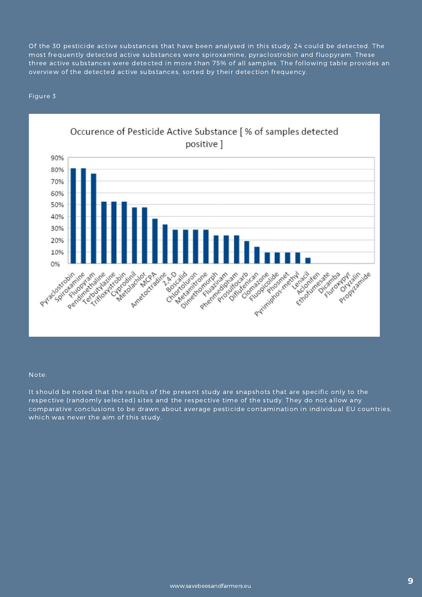Of the 30 pesticide active substances that have been analysed in this study, 24 could be detected. The most frequently detected active substances were spiroxamine, pyraclostrobin and fluopyram. These three active substances were detected in more than 75% of all samples. The following table provides an overview of the detected active substances, sorted by their detection frequency.

### Figure 3



#### Note:

It should be noted that the results of the present study are snapshots that are specific only to the respective (randomly selected) sites and the respective time of the study. They do not allow any comparative conclusions to be drawn about average pesticide contamination in individual EU countries, which was never the aim of this study.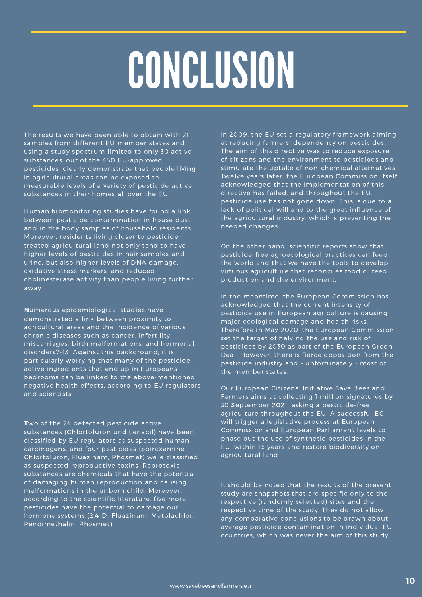## **CONCLUSION**

The results we have been able to obtain with 21 samples from different EU member states and using a study spectrum limited to only 30 active substances, out of the 450 EU-approved pesticides, clearly demonstrate that people living in agricultural areas can be exposed to measurable levels of a variety of pesticide active substances in their homes all over the EU.

Human biomonitoring studies have found a link between pesticide contamination in house dust and in the body samples of household residents. Moreover, residents living closer to pesticidetreated agricultural land not only tend to have higher levels of pesticides in hair samples and urine, but also higher levels of DNA damage, oxidative stress markers, and reduced cholinesterase activity than people living further away.

**N**umerous epidemiological studies have demonstrated a link between proximity to agricultural areas and the incidence of various chronic diseases such as cancer, infertility, miscarriages, birth malformations, and hormonal disorders7-13. Against this background, it is particularly worrying that many of the pesticide active ingredients that end up in Europeans' bedrooms can be linked to the above-mentioned negative health effects, according to EU regulators and scientists.

**T**wo of the 24 detected pesticide active substances (Chlortoluron und Lenacil) have been classified by EU regulators as suspected human carcinogens, and four pesticides (Spiroxamine, Chlortoluron, Fluazinam, Phosmet) were classified as suspected reproductive toxins. Reprotoxic substances are chemicals that have the potential of damaging human reproduction and causing malformations in the unborn child. Moreover, according to the scientific literature, five more pesticides have the potential to damage our hormone systems (2,4-D, Fluazinam, Metolachlor, Pendimethalin, Phosmet).

In 2009, the EU set a regulatory framework aiming at reducing farmers' dependency on pesticides. The aim of this directive was to reduce exposure of citizens and the environment to pesticides and stimulate the uptake of non-chemical alternatives. Twelve years later, the European Commission itself acknowledged that the implementation of this directive has failed, and throughout the EU, pesticide use has not gone down. This is due to a lack of political will and to the great influence of the agricultural industry, which is preventing the needed changes.

On the other hand, scientific reports show that pesticide-free agroecological practices can feed the world and that we have the tools to develop virtuous agriculture that reconciles food or feed production and the environment.

In the meantime, the European Commission has acknowledged that the current intensity of pesticide use in European agriculture is causing major ecological damage and health risks. Therefore in May 2020, the European Commission set the target of halving the use and risk of pesticides by 2030 as part of the European Green Deal. However, there is fierce opposition from the pesticide industry and – unfortunately - most of the member states.

Our European Citizens' Initiative Save Bees and Farmers aims at collecting 1 million signatures by 30 September 2021, asking a pesticide-free agriculture throughout the EU. A successful ECI will trigger a legislative process at European Commission and European Parliament levels to phase out the use of synthetic pesticides in the EU, within 15 years and restore biodiversity on agricultural land.

It should be noted that the results of the present study are snapshots that are specific only to the respective (randomly selected) sites and the respective time of the study. They do not allow any comparative conclusions to be drawn about average pesticide contamination in individual EU countries, which was never the aim of this study.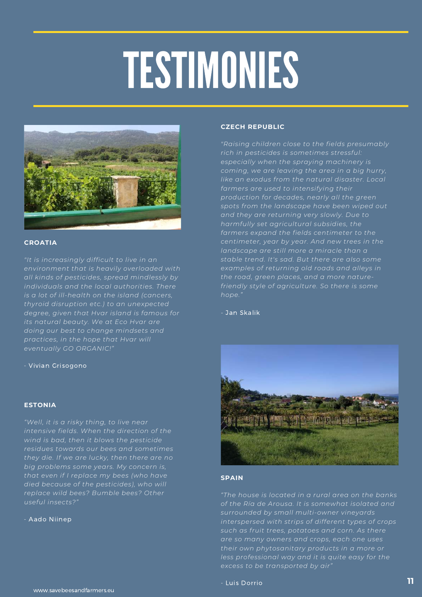# TESTIMONIES



#### **CROATIA**

*"It is increasingly difficult to live in an environment that is heavily overloaded with all kinds of pesticides, spread mindlessly by individuals and the local authorities. There thyroid disruption etc.) to an unexpected degree, given that Hvar island is famous for its natural beauty. We at Eco Hvar are doing our best to change mindsets and practices, in the hope that Hvar will eventually GO ORGANIC!"*

- Vivian Grisogono

### **ESTONIA**

*"Well, it is a risky thing, to live near intensive fields. When the direction of the wind is bad, then it blows the pesticide residues towards our bees and sometimes they die. If we are lucky, then there are no big problems some years. My concern is, that even if I replace my bees (who have died because of the pesticides), who will replace wild bees? Bumble bees? Other useful insects?"*

#### - Aado Niinep

#### **CZECH REPUBLIC**

*"Raising children close to the fields presumably rich in pesticides is sometimes stressful: especially when the spraying machinery is coming, we are leaving the area in a big hurry, farmers are used to intensifying their production for decades, nearly all the green spots from the landscape have been wiped out and they are returning very slowly. Due to harmfully set agricultural subsidies, the farmers expand the fields centimeter to the centimeter, year by year. And new trees in the landscape are still more a miracle than a stable trend. It's sad. But there are also some examples of returning old roads and alleys in the road, green places, and a more naturefriendly style of agriculture. So there is some hope."*

*-* Jan Skalik



### **SPAIN**

*"The house is located in a rural area on the banks of the Ría de Arousa. It is somewhat isolated and surrounded by small multi-owner vineyards interspersed with strips of different types of crops are so many owners and crops, each one uses their own phytosanitary products in a more or less professional way and it is quite easy for the excess to be transported by air"*

### - Luis Dorrio **11**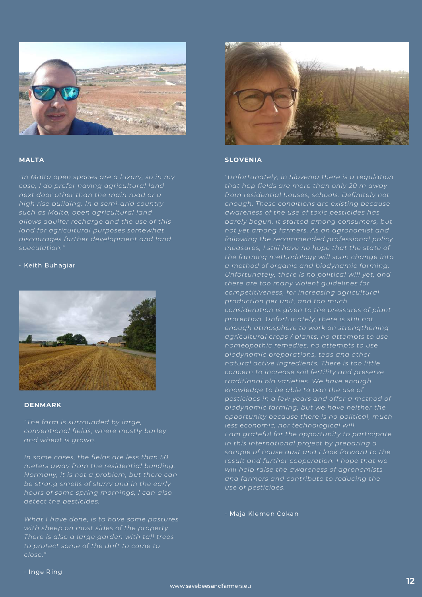

### **MALTA**

*"In Malta open spaces are a luxury, so in my case, I do prefer having agricultural land next door other than the main road or a high rise building. In a semi-arid country such as Malta, open agricultural land allows aquifer recharge and the use of this land for agricultural purposes somewhat discourages further development and land speculation."*

#### - Keith Buhagiar



### **DENMARK**

*"The farm is surrounded by large, conventional fields, where mostly barley and wheat is grown.*

*In some cases, the fields are less than 50 meters away from the residential building. Normally, it is not a problem, but there can be strong smells of slurry and in the early hours of some spring mornings, I can also detect the pesticides.*

*What I have done, is to have some pastures with sheep on most sides of the property. There is also a large garden with tall trees close."*



### **SLOVENIA**

*"Unfortunately, in Slovenia there is a regulation that hop fields are more than only 20 m away from residential houses, schools. Definitely not enough. These conditions are existing because awareness of the use of toxic pesticides has barely begun. It started among consumers, but not yet among farmers. As an agronomist and following the recommended professional policy measures, I still have no hope that the state of the farming methodology will soon change into a method of organic and biodynamic farming. Unfortunately, there is no political will yet, and there are too many violent guidelines for competitiveness, for increasing agricultural production per unit, and too much consideration is given to the pressures of plant protection. Unfortunately, there is still not enough atmosphere to work on strengthening agricultural crops / plants, no attempts to use homeopathic remedies, no attempts to use biodynamic preparations, teas and other natural active ingredients. There is too little concern to increase soil fertility and preserve traditional old varieties. We have enough knowledge to be able to ban the use of pesticides in a few years and offer a method of biodynamic farming, but we have neither the opportunity because there is no political, much less economic, nor technological will. I am grateful for the opportunity to participate in this international project by preparing a sample of house dust and I look forward to the result and further cooperation. I hope that we will help raise the awareness of agronomists and farmers and contribute to reducing the use of pesticides.*

- Maja Klemen Cokan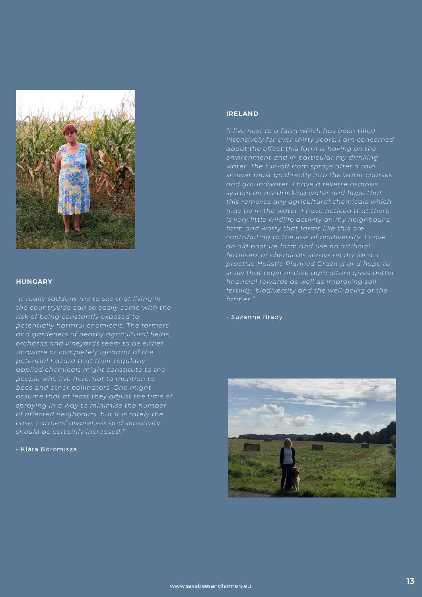

#### **HUNGARY**

*"It really saddens me to see that living in the countryside can so easily come with the risk of being constantly exposed to and gardeners of nearby agricultural fields, orchards and vineyards seem to be either unaware or completely ignorant of the potential hazard that their regularly applied chemicals might constitute to the people who live here..not to mention to bees and other pollinators. One might assume that at least they adjust the time of spraying in a way to minimise the number of affected neighbours, but it is rarely the should be certainly increased."*

- Klára Boromisza

### **IRELAND**

*"I live next to a farm which has been tilled intensively for over thirty years. I am concerned about the effect this farm is having on the environment and in particular my drinking water. The run-off from sprays after a rain shower must go directly into the water courses and groundwater. I have a reverse osmosis system on my drinking water and hope that this removes any agricultural chemicals which may be in the water. I have noticed that there is very little wildlife activity on my neighbour's contributing to the loss of biodiversity. I have an old pasture farm and use no artificial fertilisers or chemicals sprays on my land. I practise Holistic Planned Grazing and hope to show that regenerative agriculture gives better financial rewards as well as improving soil fertility, biodiversity and the well-being of the farmer."*

*-* Suzanne Brady

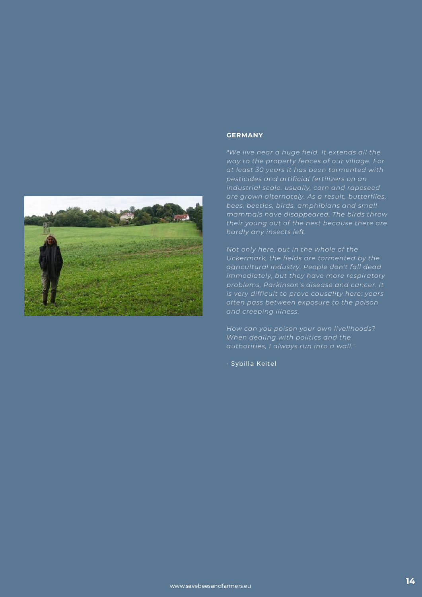

#### **GERMANY**

*"We live near a huge field. It extends all the way to the property fences of our village. For at least 30 years it has been tormented with pesticides and artificial fertilizers on an industrial scale. usually, corn and rapeseed are grown alternately. As a result, butterflies, bees, beetles, birds, amphibians and small mammals have disappeared. The birds throw their young out of the nest because there are hardly any insects left.*

*Not only here, but in the whole of the Uckermark, the fields are tormented by the agricultural industry. People don't fall dead immediately, but they have more respiratory problems, Parkinson's disease and cancer. It is very difficult to prove causality here: years often pass between exposure to the poison and creeping illness.*

*How can you poison your own livelihoods? When dealing with politics and the authorities, I always run into a wall."*

- Sybilla Keitel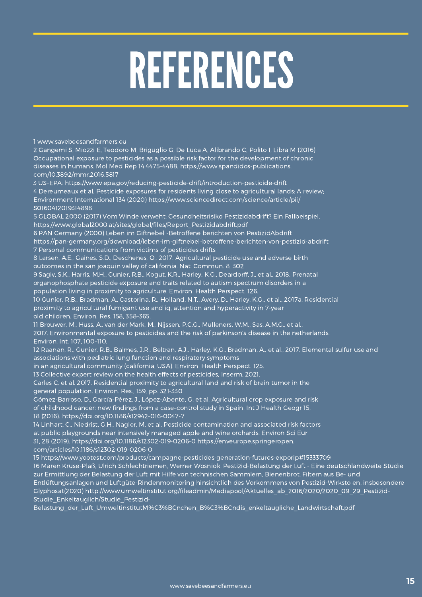## REFERENCES

1 www.savebeesandfarmers.eu

2 Gangemi S, Miozzi E, Teodoro M, Briguglio G, De Luca A, Alibrando C, Polito I, Libra M (2016) Occupational exposure to pesticides as a possible risk factor for the development of chronic diseases in humans. Mol Med Rep 14:4475–4488. https://www.spandidos-publications. com/10.3892/mmr.2016.5817 3 US-EPA: https://www.epa.gov/reducing-pesticide-drift/introduction-pesticide-drift

4 Dereumeaux et al. Pesticide exposures for residents living close to agricultural lands: A review; Environment International 134 (2020) https://www.sciencedirect.com/science/article/pii/ S0160412019314898

5 GLOBAL 2000 (2017) Vom Winde verweht: Gesundheitsrisiko Pestizidabdrift? Ein Fallbeispiel. https://www.global2000.at/sites/global/files/Report\_Pestizidabdrift.pdf

6 PAN Germany (2000) Leben im Giftnebel -Betroffene berichten von PestizidAbdrift

https://pan-germany.org/download/leben-im-giftnebel-betroffene-berichten-von-pestizid-abdrift 7 Personal communications from victims of pesticides drifts

8 Larsen, A.E., Gaines, S.D., Deschenes, O., 2017. Agricultural pesticide use and adverse birth outcomes in the san joaquin valley of california. Nat. Commun. 8, 302

9 Sagiv, S.K., Harris, M.H., Gunier, R.B., Kogut, K.R., Harley, K.G., Deardorff, J., et al., 2018. Prenatal organophosphate pesticide exposure and traits related to autism spectrum disorders in a population living in proximity to agriculture. Environ. Health Perspect. 126.

10 Gunier, R.B., Bradman, A., Castorina, R., Holland, N.T., Avery, D., Harley, K.G., et al., 2017a. Residential proximity to agricultural fumigant use and iq, attention and hyperactivity in 7-year old children. Environ. Res. 158, 358–365.

11 Brouwer, M., Huss, A., van der Mark, M., Nijssen, P.C.G., Mulleners, W.M., Sas, A.M.G., et al., 2017. Environmental exposure to pesticides and the risk of parkinson's disease in the netherlands. Environ. Int. 107, 100–110.

12 Raanan, R., Gunier, R.B., Balmes, J.R., Beltran, A.J., Harley, K.G., Bradman, A., et al., 2017. Elemental sulfur use and associations with pediatric lung function and respiratory symptoms

in an agricultural community (california, USA). Environ. Health Perspect. 125.

13 Collective expert review on the health effects of pesticides, Inserm, 2021.

Carles C. et al. 2017. Residential proximity to agricultural land and risk of brain tumor in the general population. Environ. Res., 159, pp. 321-330

Gómez-Barroso, D., García-Pérez, J., López-Abente, G. et al. Agricultural crop exposure and risk

of childhood cancer: new findings from a case–control study in Spain. Int J Health Geogr 15,

18 (2016). https://doi.org/10.1186/s12942-016-0047-7

14 Linhart, C., Niedrist, G.H., Nagler, M. et al. Pesticide contamination and associated risk factors

at public playgrounds near intensively managed apple and wine orchards. Environ Sci Eur

31, 28 (2019). https://doi.org/10.1186/s12302-019-0206-0 https://enveurope.springeropen.

com/articles/10.1186/s12302-019-0206-0

15 <https://www.yootest.com/products/campagne-pesticides-generation-futures-exporip#15333709>

16 Maren Kruse-Plaß, Ulrich Schlechtriemen, Werner Wosniok. Pestizid-Belastung der Luft - Eine deutschlandweite Studie zur Ermittlung der Belastung der Luft mit Hilfe von technischen Sammlern, Bienenbrot, Filtern aus Be- und

Entlüftungsanlagen und Luftgüte-Rindenmonitoring hinsichtlich des Vorkommens von Pestizid-Wirksto en, insbesondere Glyphosat(2020) http://www.umweltinstitut.org/fileadmin/Mediapool/Aktuelles\_ab\_2016/2020/2020\_09\_29\_Pestizid-Studie Enkeltauglich/Studie Pestizid-

[Belastung\\_der\\_Luft\\_UmweltinstitutM%C3%BCnchen\\_B%C3%BCndis\\_enkeltaugliche\\_Landwirtschaft.pdf](http://www.umweltinstitut.org/fileadmin/Mediapool/Aktuelles_ab_2016/2020/2020_09_29_Pestizid-Studie_Enkeltauglich/Studie_Pestizid-Belastung_der_Luft_UmweltinstitutM%C3%BCnchen_B%C3%BCndis_enkeltaugliche_Landwirtschaft.pdf)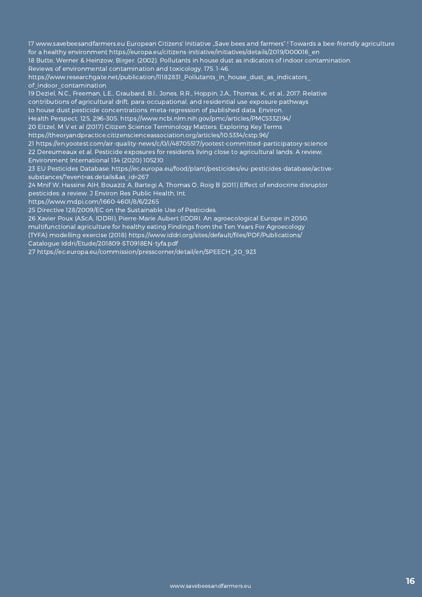17 [www.savebeesandfarmers.eu](http://www.savebeesandfarmers.eu/) European Citizens' Initiative "Save bees and farmers" ! Towards a bee-friendly agriculture for a healthy environment [https://europa.eu/citizens-initiative/initiatives/details/2019/000016\\_en](https://europa.eu/citizens-initiative/initiatives/details/2019/000016_en)

18 Butte, Werner & Heinzow, Birger. (2002). Pollutants in house dust as indicators of indoor contamination. Reviews of environmental contamination and toxicology. 175. 1-46.

https://www.researchgate.net/publication/11182831\_Pollutants\_in\_house\_dust\_as\_indicators\_ of indoor contamination

19 Deziel, N.C., Freeman, L.E., Graubard, B.I., Jones, R.R., Hoppin, J.A., Thomas, K., et al., 2017. Relative contributions of agricultural drift, para-occupational, and residential use exposure pathways to house dust pesticide concentrations: meta-regression of published data. Environ.

Health Perspect. 125, 296–305. <https://www.ncbi.nlm.nih.gov/pmc/articles/PMC5332194/> 20 Eitzel, M V et al (2017) Citizen Science Terminology Matters: Exploring Key Terms

https://theoryandpractice.citizenscienceassociation.org/articles/10.5334/cstp.96/

21 <https://en.yootest.com/air-quality-news/c/0/i/48705517/yootest-committed-participatory-science> 22 Dereumeaux et al. Pesticide exposures for residents living close to agricultural lands: A review;

Environment International 134 (2020) 105210

23 EU Pesticides Database: https://ec.europa.eu/food/plant/pesticides/eu-pesticides-database/activesubstances/?event=as.details&as\_id=267

24 Mnif W, Hassine AIH, Bouaziz A, Bartegi A, Thomas O, Roig B (2011) Effect of endocrine disruptor pesticides: a review. J Environ Res Public Health, Int.

https://www.mdpi.com/1660-4601/8/6/2265

25 Directive 128/2009/EC on the Sustainable Use of Pesticides.

26 Xavier Poux (AScA, IDDRI), Pierre-Marie Aubert (IDDRI. An agroecological Europe in 2050: multifunctional agriculture for healthy eating Findings from the Ten Years For Agroecology (TYFA) modelling exercise (2018) https://www.iddri.org/sites/default/files/PDF/Publications/ Catalogue Iddri/Etude/201809-ST0918EN-tyfa.pdf

27 https://ec.europa.eu/commission/presscorner/detail/en/SPEECH\_20\_923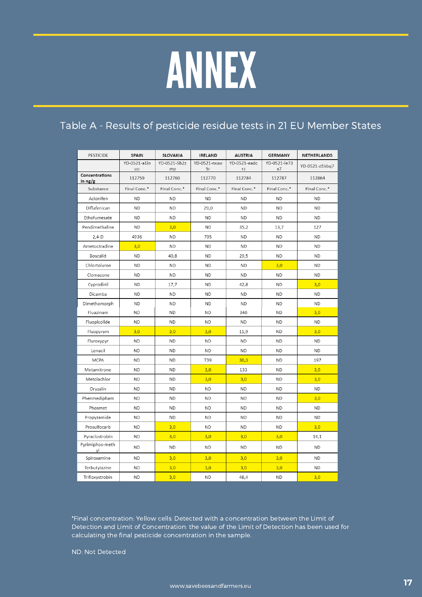### ANNEX

### Table A - Results of pesticide residue tests in 21 EU Member States

| PESTICIDE                 | <b>SPAIN</b> | SLOVAKIA     | <b>IRELAND</b> | <b>AUSTRIA</b> | <b>GERMANY</b> | <b>NETHERLANDS</b> |  |
|---------------------------|--------------|--------------|----------------|----------------|----------------|--------------------|--|
|                           | YD-0521-a1in | YD-0521-5b2z | YD-0521-rxuw   | YD-0521-eadc   | YD-0521-le73   |                    |  |
|                           | uo           | mp           | 5r             | rz             | x7             | YD-0521-d1kbq7     |  |
| Concentrations<br>in ng/g | 112759       | 112760       | 112770         | 112784         | 112787         | 112864             |  |
| Substance                 | Final Conc.* | Final Conc.* | Final Conc.*   | Final Conc.*   | Final Conc.*   | Final Conc.*       |  |
| Aclonifen                 | <b>ND</b>    | <b>ND</b>    | <b>ND</b>      | <b>ND</b>      | <b>ND</b>      | <b>ND</b>          |  |
| Diflufenican              | <b>ND</b>    | <b>ND</b>    | 29,0           | <b>ND</b>      | <b>ND</b>      | <b>ND</b>          |  |
| Ethofumesate              | <b>ND</b>    | <b>ND</b>    | <b>ND</b>      | <b>ND</b>      | <b>ND</b>      | ND.                |  |
| Pendimethaline            | <b>ND</b>    | 3,0          | <b>ND</b>      | 35,2           | 13,7           | 127                |  |
| $2,4-D$                   | 4936         | <b>ND</b>    | 795            | <b>ND</b>      | <b>ND</b>      | <b>ND</b>          |  |
| Ametoctradine             | 3,0          | <b>ND</b>    | <b>ND</b>      | <b>ND</b>      | <b>ND</b>      | <b>ND</b>          |  |
| Boscalid                  | <b>ND</b>    | 40,8         | <b>ND</b>      | 29,5           | <b>ND</b>      | <b>ND</b>          |  |
| Chlortoluron              | <b>ND</b>    | <b>ND</b>    | <b>ND</b>      | <b>ND</b>      | 3,0            | <b>ND</b>          |  |
| Clomazone                 | <b>ND</b>    | <b>ND</b>    | <b>ND</b>      | <b>ND</b>      | <b>ND</b>      | <b>ND</b>          |  |
| Cyprodinil                | <b>ND</b>    | 17,7         | <b>ND</b>      | 42,8           | <b>ND</b>      | 3,0                |  |
| Dicamba                   | <b>ND</b>    | <b>ND</b>    | <b>ND</b>      | <b>ND</b>      | <b>ND</b>      | <b>ND</b>          |  |
| Dimethomorph              | <b>ND</b>    | <b>ND</b>    | ND             | <b>ND</b>      | <b>ND</b>      | <b>ND</b>          |  |
| Fluazinam                 | <b>ND</b>    | <b>ND</b>    | <b>ND</b>      | 340            | <b>ND</b>      | 3,0                |  |
| Fluopicolide              | <b>ND</b>    | <b>ND</b>    | <b>ND</b>      | <b>ND</b>      | <b>ND</b>      | <b>ND</b>          |  |
| Fluopyram                 | 3,0          | 3,0          | 3,0            | 11,9           | <b>ND</b>      | 3,0                |  |
| Fluroxypyr                | <b>ND</b>    | <b>ND</b>    | <b>ND</b>      | <b>ND</b>      | <b>ND</b>      | <b>ND</b>          |  |
| Lenacil                   | <b>ND</b>    | <b>ND</b>    | <b>ND</b>      | <b>ND</b>      | <b>ND</b>      | <b>ND</b>          |  |
| <b>MCPA</b>               | <b>ND</b>    | <b>ND</b>    | 739            | 30,3           | <b>ND</b>      | 197                |  |
| Metamitrone               | <b>ND</b>    | <b>ND</b>    | 3,0            | 133            | <b>ND</b>      | 3,0                |  |
| Metolachlor               | <b>ND</b>    | <b>ND</b>    | 3,0            | 3,0            | <b>ND</b>      | 3,0                |  |
| Oryzalin                  | <b>ND</b>    | <b>ND</b>    | <b>ND</b>      | <b>ND</b>      | <b>ND</b>      | <b>ND</b>          |  |
| Phenmedipham              | <b>ND</b>    | <b>ND</b>    | <b>ND</b>      | <b>ND</b>      | <b>ND</b>      | 3,0                |  |
| Phosmet                   | <b>ND</b>    | <b>ND</b>    | <b>ND</b>      | <b>ND</b>      | <b>ND</b>      | <b>ND</b>          |  |
| Propyzamide               | <b>ND</b>    | <b>ND</b>    | <b>ND</b>      | <b>ND</b>      | <b>ND</b>      | <b>ND</b>          |  |
| Prosulfocarb              | <b>ND</b>    | 3,0          | <b>ND</b>      | <b>ND</b>      | <b>ND</b>      | 3,0                |  |
| Pyraclostrobin            | <b>ND</b>    | 3,0          | 3,0            | 3,0            | 3,0            | 14,1               |  |
| Pyrimiphos-meth<br>yl     | <b>ND</b>    | <b>ND</b>    | <b>ND</b>      | <b>ND</b>      | <b>ND</b>      | <b>ND</b>          |  |
| Spiroxamine               | <b>ND</b>    | 3,0          | 3,0            | 3,0            | 3,0            | <b>ND</b>          |  |
| Terbutylazine             | <b>ND</b>    | 3,0          | 3,0            | 3,0            | 3,0            | <b>ND</b>          |  |
| Trifloxystrobin           | <b>ND</b>    | 3,0          | <b>ND</b>      | 48,4           | <b>ND</b>      | 3,0                |  |

\*Final concentration: Yellow cells: Detected with a concentration between the Limit of Detection and Limit of Concentration: the value of the Limit of Detection has been used for calculating the final pesticide concentration in the sample.

ND: Not Detected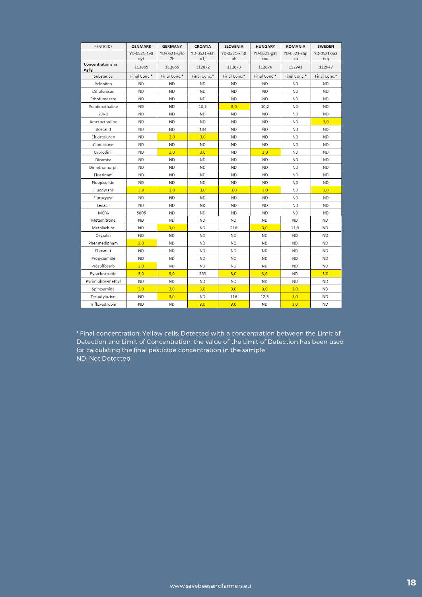| PESTICIDE                 | <b>DENMARK</b>     | <b>GERMANY</b>     | <b>CROATIA</b>     | <b>SLOVENIA</b>    | <b>HUNGARY</b>     | <b>ROMANIA</b>     | <b>SWEDEN</b>      |
|---------------------------|--------------------|--------------------|--------------------|--------------------|--------------------|--------------------|--------------------|
|                           | YD-0521-1v8<br>qyf | YD-0521-sj4o<br>7h | YD-0521-vkh<br>u1i | YD-0521-xin0<br>uh | YD-0521-g3t<br>cnd | YD-0521-sfql<br>zu | YD-0521-za3<br>taq |
| Concentrations in<br>ng/g | 112865             | 112866             | 112872             | 112873             | 112876             | 112941             | 112947             |
| Substance                 | Final Conc.*       | Final Conc.*       | Final Conc.*       | Final Conc.*       | Final Conc.*       | Final Conc.*       | Final Conc.*       |
| Aclonifen                 | <b>ND</b>          | <b>ND</b>          | <b>ND</b>          | <b>ND</b>          | <b>ND</b>          | <b>ND</b>          | <b>ND</b>          |
| Diflufenican              | <b>ND</b>          | <b>ND</b>          | <b>ND</b>          | <b>ND</b>          | <b>ND</b>          | <b>ND</b>          | <b>ND</b>          |
| Ethofumesate              | <b>ND</b>          | <b>ND</b>          | <b>ND</b>          | <b>ND</b>          | <b>ND</b>          | <b>ND</b>          | ND.                |
| Pendimethaline            | <b>ND</b>          | <b>ND</b>          | 10,5               | 3,0                | 10,2               | <b>ND</b>          | <b>ND</b>          |
| $2,4-D$                   | <b>ND</b>          | <b>ND</b>          | <b>ND</b>          | <b>ND</b>          | <b>ND</b>          | <b>ND</b>          | <b>ND</b>          |
| Ametoctradine             | <b>ND</b>          | <b>ND</b>          | <b>ND</b>          | <b>ND</b>          | <b>ND</b>          | <b>ND</b>          | 3,0                |
| Boscalid                  | <b>ND</b>          | <b>ND</b>          | 104                | <b>ND</b>          | <b>ND</b>          | <b>ND</b>          | <b>ND</b>          |
| Chlortoluron              | <b>ND</b>          | 3,0                | 3,0                | <b>ND</b>          | <b>ND</b>          | <b>ND</b>          | <b>ND</b>          |
| Clomazone                 | <b>ND</b>          | <b>ND</b>          | <b>ND</b>          | <b>ND</b>          | <b>ND</b>          | <b>ND</b>          | <b>ND</b>          |
| Cyprodinil                | <b>ND</b>          | 3,0                | 3,0                | <b>ND</b>          | 3,0                | ND.                | <b>ND</b>          |
| Dicamba                   | <b>ND</b>          | <b>ND</b>          | <b>ND</b>          | <b>ND</b>          | <b>ND</b>          | <b>ND</b>          | <b>ND</b>          |
| Dimethomorph              | <b>ND</b>          | <b>ND</b>          | <b>ND</b>          | <b>ND</b>          | <b>ND</b>          | <b>ND</b>          | <b>ND</b>          |
| Fluazinam                 | <b>ND</b>          | <b>ND</b>          | <b>ND</b>          | <b>ND</b>          | <b>ND</b>          | <b>ND</b>          | <b>ND</b>          |
| Fluopicolide              | <b>ND</b>          | <b>ND</b>          | <b>ND</b>          | <b>ND</b>          | <b>ND</b>          | <b>ND</b>          | <b>ND</b>          |
| Fluopyram                 | 3,0                | 3.0                | 3,0                | 3,0                | 3,0                | <b>ND</b>          | 3,0                |
| Fluroxypyr                | <b>ND</b>          | <b>ND</b>          | <b>ND</b>          | <b>ND</b>          | <b>ND</b>          | <b>ND</b>          | <b>ND</b>          |
| Lenacil                   | <b>ND</b>          | <b>ND</b>          | <b>ND</b>          | <b>ND</b>          | <b>ND</b>          | <b>ND</b>          | <b>ND</b>          |
| <b>MCPA</b>               | 5806               | <b>ND</b>          | <b>ND</b>          | <b>ND</b>          | <b>ND</b>          | <b>ND</b>          | <b>ND</b>          |
| Metamitrone               | <b>ND</b>          | <b>ND</b>          | <b>ND</b>          | <b>ND</b>          | <b>ND</b>          | <b>ND</b>          | <b>ND</b>          |
| Metolachlor               | ND.                | 3,0                | <b>ND</b>          | 216                | 3,0                | 11,9               | <b>ND</b>          |
| Oryzalin                  | <b>ND</b>          | <b>ND</b>          | <b>ND</b>          | <b>ND</b>          | <b>ND</b>          | <b>ND</b>          | <b>ND</b>          |
| Phenmedipham              | 3,0                | <b>ND</b>          | <b>ND</b>          | <b>ND</b>          | <b>ND</b>          | <b>ND</b>          | <b>ND</b>          |
| Phosmet                   | ND.                | <b>ND</b>          | <b>ND</b>          | <b>ND</b>          | ND.                | <b>ND</b>          | <b>ND</b>          |
| Propyzamide               | <b>ND</b>          | <b>ND</b>          | <b>ND</b>          | <b>ND</b>          | <b>ND</b>          | <b>ND</b>          | <b>ND</b>          |
| Prosulfocarb              | 3,0                | <b>ND</b>          | <b>ND</b>          | <b>ND</b>          | <b>ND</b>          | <b>ND</b>          | <b>ND</b>          |
| Pyraclostrobin            | 3,0                | 3,0                | 269                | 3,0                | 3,0                | <b>ND</b>          | 3,0                |
| Pyrimiphos-methyl         | ND                 | <b>ND</b>          | ND.                | <b>ND</b>          | ND                 | <b>ND</b>          | <b>ND</b>          |
| Spiroxamine               | 3,0                | 3,0                | 3,0                | 3,0                | 3,0                | 3,0                | <b>ND</b>          |
| Terbutylazine             | <b>ND</b>          | 3,0                | <b>ND</b>          | 116                | 12,5               | 3,0                | <b>ND</b>          |
| Trifloxystrobin           | <b>ND</b>          | <b>ND</b>          | 3,0                | 3,0                | <b>ND</b>          | 3,0                | <b>ND</b>          |

\* Final concentration: Yellow cells: Detected with a concentration between the Limit of Detection and Limit of Concentration: the value of the Limit of Detection has been used for calculating the final pesticide concentration in the sample ND: Not Detected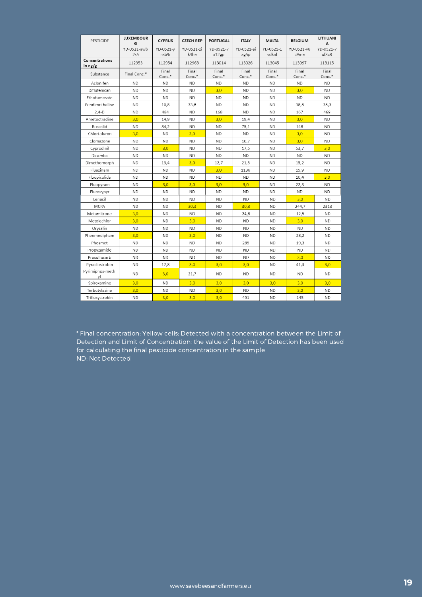| PESTICIDE                 | <b>LUXEMBOUR</b><br>G | <b>CYPRUS</b>      | <b>CZECH REP</b>   | <b>PORTUGAL</b>    | <b>ITALY</b>       | <b>MALTA</b>       | <b>BELGIUM</b>     | LITHUANI<br>А      |
|---------------------------|-----------------------|--------------------|--------------------|--------------------|--------------------|--------------------|--------------------|--------------------|
|                           | YD-0521-awb<br>2s5    | YD-0521-v<br>nsb9r | YD-0521-zi<br>k4he | YD-0521-7<br>x12gp | YD-0521-ai<br>ag5p | YD-0521-1<br>vdknl | YD-0521-v6<br>c9me | YD-0521-7<br>xf8c8 |
| Concentrations<br>in ng/g | 112953                | 112954             | 112963             | 113014             | 113026             | 113045             | 113097             | 113115             |
| Substance                 | Final Conc.*          | Final<br>Conc.*    | Final<br>Conc.*    | Final<br>Conc.*    | Final<br>Conc.*    | Final<br>Conc.*    | Final<br>Conc.*    | Final<br>Conc.*    |
| Aclonifen                 | <b>ND</b>             | <b>ND</b>          | <b>ND</b>          | <b>ND</b>          | <b>ND</b>          | <b>ND</b>          | <b>ND</b>          | ND.                |
| Diflufenican              | <b>ND</b>             | <b>ND</b>          | <b>ND</b>          | 3,0                | <b>ND</b>          | <b>ND</b>          | 3,0                | <b>ND</b>          |
| Ethofumesate              | <b>ND</b>             | <b>ND</b>          | <b>ND</b>          | <b>ND</b>          | <b>ND</b>          | <b>ND</b>          | <b>ND</b>          | <b>ND</b>          |
| Pendimethaline            | <b>ND</b>             | 10,8               | 33,8               | <b>ND</b>          | <b>ND</b>          | <b>ND</b>          | 38,8               | 28,3               |
| $2,4-D$                   | <b>ND</b>             | 484                | <b>ND</b>          | 168                | <b>ND</b>          | <b>ND</b>          | 167                | 469                |
| Ametoctradine             | 3,0                   | 14,9               | <b>ND</b>          | 3,0                | 19,4               | <b>ND</b>          | 3,0                | <b>ND</b>          |
| Boscalid                  | <b>ND</b>             | 84,2               | <b>ND</b>          | <b>ND</b>          | 75,1               | <b>ND</b>          | 148                | <b>ND</b>          |
| Chlortoluron              | 3,0                   | <b>ND</b>          | 3,0                | <b>ND</b>          | <b>ND</b>          | <b>ND</b>          | 3,0                | <b>ND</b>          |
| Clomazone                 | <b>ND</b>             | <b>ND</b>          | <b>ND</b>          | <b>ND</b>          | 10,7               | <b>ND</b>          | 3,0                | <b>ND</b>          |
| Cyprodinil                | <b>ND</b>             | 3,0                | <b>ND</b>          | <b>ND</b>          | 17,5               | <b>ND</b>          | 53,7               | 3,0                |
| Dicamba                   | <b>ND</b>             | <b>ND</b>          | <b>ND</b>          | <b>ND</b>          | <b>ND</b>          | <b>ND</b>          | <b>ND</b>          | <b>ND</b>          |
| Dimethomorph              | <b>ND</b>             | 13,4               | 3,0                | 12,7               | 21,5               | <b>ND</b>          | 15,2               | <b>ND</b>          |
| Fluazinam                 | <b>ND</b>             | <b>ND</b>          | <b>ND</b>          | 3,0                | 1136               | <b>ND</b>          | 15,9               | <b>ND</b>          |
| Fluopicolide              | <b>ND</b>             | <b>ND</b>          | <b>ND</b>          | <b>ND</b>          | <b>ND</b>          | <b>ND</b>          | 10,4               | 3,0                |
| Fluopyram                 | <b>ND</b>             | 3,0                | 3,0                | 3,0                | 3,0                | <b>ND</b>          | 22,3               | <b>ND</b>          |
| Fluroxypyr                | <b>ND</b>             | <b>ND</b>          | <b>ND</b>          | <b>ND</b>          | <b>ND</b>          | <b>ND</b>          | <b>ND</b>          | <b>ND</b>          |
| Lenacil                   | <b>ND</b>             | <b>ND</b>          | <b>ND</b>          | <b>ND</b>          | <b>ND</b>          | <b>ND</b>          | 3,0                | <b>ND</b>          |
| <b>MCPA</b>               | <b>ND</b>             | <b>ND</b>          | 30,3               | <b>ND</b>          | 30,3               | <b>ND</b>          | 244,7              | 2313               |
| Metamitrone               | 3,0                   | <b>ND</b>          | <b>ND</b>          | <b>ND</b>          | 24,8               | <b>ND</b>          | 12,5               | <b>ND</b>          |
| Metolachlor               | 3,0                   | <b>ND</b>          | 3,0                | <b>ND</b>          | <b>ND</b>          | <b>ND</b>          | 3,0                | <b>ND</b>          |
| Oryzalin                  | <b>ND</b>             | <b>ND</b>          | <b>ND</b>          | <b>ND</b>          | <b>ND</b>          | <b>ND</b>          | <b>ND</b>          | <b>ND</b>          |
| Phenmedipham              | 3,0                   | <b>ND</b>          | 3,0                | <b>ND</b>          | <b>ND</b>          | <b>ND</b>          | 28,2               | <b>ND</b>          |
| Phosmet                   | <b>ND</b>             | <b>ND</b>          | <b>ND</b>          | <b>ND</b>          | 285                | <b>ND</b>          | 19,3               | <b>ND</b>          |
| Propyzamide               | <b>ND</b>             | <b>ND</b>          | <b>ND</b>          | <b>ND</b>          | <b>ND</b>          | <b>ND</b>          | <b>ND</b>          | <b>ND</b>          |
| Prosulfocarb              | <b>ND</b>             | <b>ND</b>          | <b>ND</b>          | <b>ND</b>          | <b>ND</b>          | <b>ND</b>          | 3,0                | <b>ND</b>          |
| Pyraclostrobin            | <b>ND</b>             | 17,8               | 3,0                | 3,0                | 3,0                | <b>ND</b>          | 41,3               | 3,0                |
| Pyrimiphos-meth<br>yl     | <b>ND</b>             | 3,0                | 21,7               | <b>ND</b>          | <b>ND</b>          | <b>ND</b>          | <b>ND</b>          | <b>ND</b>          |
| Spiroxamine               | 3.0                   | <b>ND</b>          | 3,0                | 3,0                | 3,0                | 3.0                | 3,0                | 3.0                |
| Terbutylazine             | 3,0                   | <b>ND</b>          | <b>ND</b>          | 3,0                | <b>ND</b>          | <b>ND</b>          | 3,0                | <b>ND</b>          |
| Trifloxystrobin           | <b>ND</b>             | 3,0                | 3,0                | 3,0                | 491                | <b>ND</b>          | 145                | <b>ND</b>          |

\* Final concentration: Yellow cells: Detected with a concentration between the Limit of Detection and Limit of Concentration: the value of the Limit of Detection has been used for calculating the final pesticide concentration in the sample ND: Not Detected